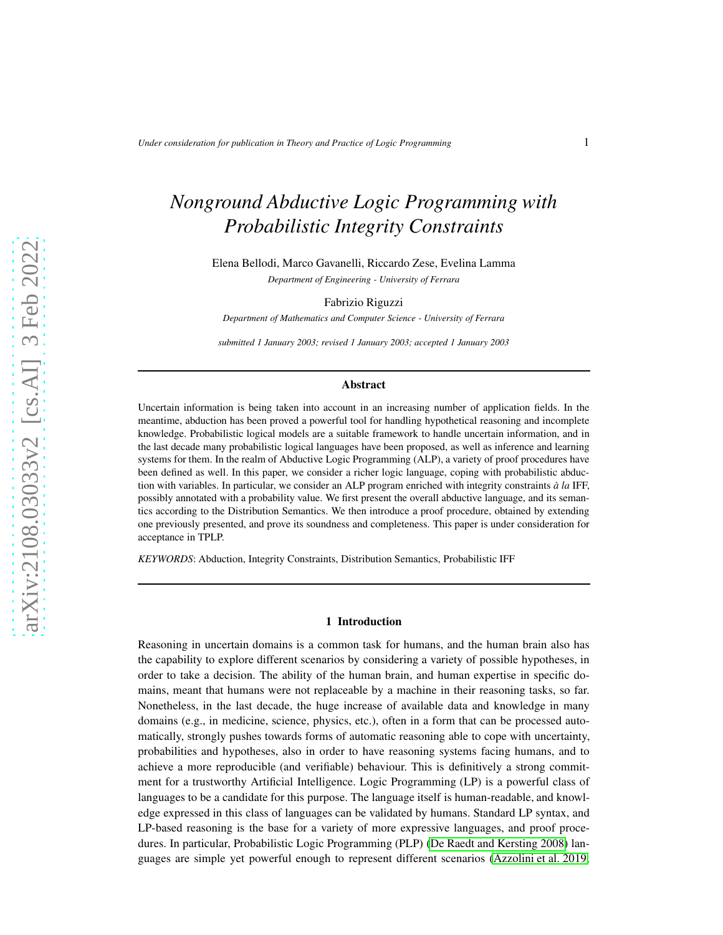# *Nonground Abductive Logic Programming with Probabilistic Integrity Constraints*

Elena Bellodi, Marco Gavanelli, Riccardo Zese, Evelina Lamma *Department of Engineering - University of Ferrara*

Fabrizio Riguzzi

*Department of Mathematics and Computer Science - University of Ferrara*

*submitted 1 January 2003; revised 1 January 2003; accepted 1 January 2003*

#### Abstract

Uncertain information is being taken into account in an increasing number of application fields. In the meantime, abduction has been proved a powerful tool for handling hypothetical reasoning and incomplete knowledge. Probabilistic logical models are a suitable framework to handle uncertain information, and in the last decade many probabilistic logical languages have been proposed, as well as inference and learning systems for them. In the realm of Abductive Logic Programming (ALP), a variety of proof procedures have been defined as well. In this paper, we consider a richer logic language, coping with probabilistic abduction with variables. In particular, we consider an ALP program enriched with integrity constraints *à la* IFF, possibly annotated with a probability value. We first present the overall abductive language, and its semantics according to the Distribution Semantics. We then introduce a proof procedure, obtained by extending one previously presented, and prove its soundness and completeness. This paper is under consideration for acceptance in TPLP.

*KEYWORDS*: Abduction, Integrity Constraints, Distribution Semantics, Probabilistic IFF

#### 1 Introduction

Reasoning in uncertain domains is a common task for humans, and the human brain also has the capability to explore different scenarios by considering a variety of possible hypotheses, in order to take a decision. The ability of the human brain, and human expertise in specific domains, meant that humans were not replaceable by a machine in their reasoning tasks, so far. Nonetheless, in the last decade, the huge increase of available data and knowledge in many domains (e.g., in medicine, science, physics, etc.), often in a form that can be processed automatically, strongly pushes towards forms of automatic reasoning able to cope with uncertainty, probabilities and hypotheses, also in order to have reasoning systems facing humans, and to achieve a more reproducible (and verifiable) behaviour. This is definitively a strong commitment for a trustworthy Artificial Intelligence. Logic Programming (LP) is a powerful class of languages to be a candidate for this purpose. The language itself is human-readable, and knowledge expressed in this class of languages can be validated by humans. Standard LP syntax, and LP-based reasoning is the base for a variety of more expressive languages, and proof procedures. In particular, Probabilistic Logic Programming (PLP) [\(De Raedt and Kersting 2008\)](#page-15-0) languages are simple yet powerful enough to represent different scenarios [\(Azzolini et al. 2019;](#page-15-1)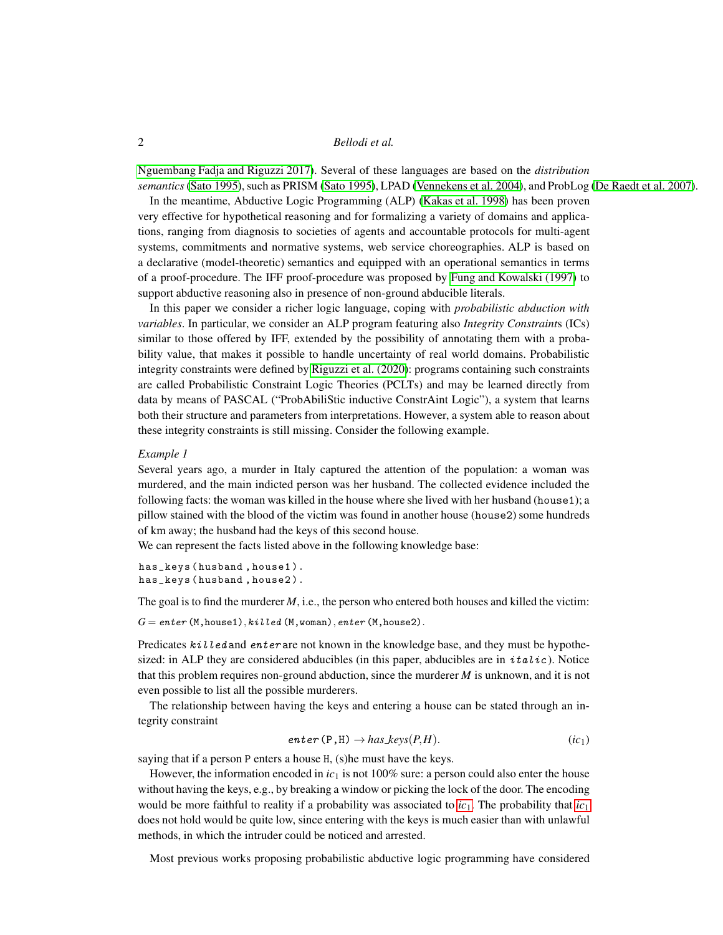[Nguembang Fadja and Riguzzi 2017\)](#page-15-2). Several of these languages are based on the *distribution semantics*(Sato 1995), such as PRISM (Sato 1995), LPAD [\(Vennekens et al. 2004\)](#page-15-3), and ProbLog (De Raedt et al. 2007).

In the meantime, Abductive Logic Programming (ALP) [\(Kakas et al. 1998\)](#page-15-4) has been proven very effective for hypothetical reasoning and for formalizing a variety of domains and applications, ranging from diagnosis to societies of agents and accountable protocols for multi-agent systems, commitments and normative systems, web service choreographies. ALP is based on a declarative (model-theoretic) semantics and equipped with an operational semantics in terms of a proof-procedure. The IFF proof-procedure was proposed by [Fung and Kowalski \(1997\)](#page-15-5) to support abductive reasoning also in presence of non-ground abducible literals.

In this paper we consider a richer logic language, coping with *probabilistic abduction with variables*. In particular, we consider an ALP program featuring also *Integrity Constraint*s (ICs) similar to those offered by IFF, extended by the possibility of annotating them with a probability value, that makes it possible to handle uncertainty of real world domains. Probabilistic integrity constraints were defined by [Riguzzi et al. \(2020\)](#page-15-6): programs containing such constraints are called Probabilistic Constraint Logic Theories (PCLTs) and may be learned directly from data by means of PASCAL ("ProbAbiliStic inductive ConstrAint Logic"), a system that learns both their structure and parameters from interpretations. However, a system able to reason about these integrity constraints is still missing. Consider the following example.

#### *Example 1*

Several years ago, a murder in Italy captured the attention of the population: a woman was murdered, and the main indicted person was her husband. The collected evidence included the following facts: the woman was killed in the house where she lived with her husband (house1); a pillow stained with the blood of the victim was found in another house (house2) some hundreds of km away; the husband had the keys of this second house.

We can represent the facts listed above in the following knowledge base:

has\_keys ( husband , house1 ). has\_keys ( husband , house2 ).

The goal is to find the murderer *M*, i.e., the person who entered both houses and killed the victim:

 $G =$  enter (M, house1),  $killed$  (M, woman), enter (M, house2).

Predicates  $k \in \mathcal{U}$  led and enter are not known in the knowledge base, and they must be hypothesized: in ALP they are considered abducibles (in this paper, abducibles are in  $italic$ ). Notice that this problem requires non-ground abduction, since the murderer *M* is unknown, and it is not even possible to list all the possible murderers.

The relationship between having the keys and entering a house can be stated through an integrity constraint

<span id="page-1-0"></span>
$$
enter (P, H) \rightarrow has\_keys(P, H). \qquad (ic_1)
$$

saying that if a person P enters a house H, (s)he must have the keys.

However, the information encoded in  $ic_1$  is not 100% sure: a person could also enter the house without having the keys, e.g., by breaking a window or picking the lock of the door. The encoding would be more faithful to reality if a probability was associated to  $ic_1$  $ic_1$ . The probability that  $ic_1$ does not hold would be quite low, since entering with the keys is much easier than with unlawful methods, in which the intruder could be noticed and arrested.

Most previous works proposing probabilistic abductive logic programming have considered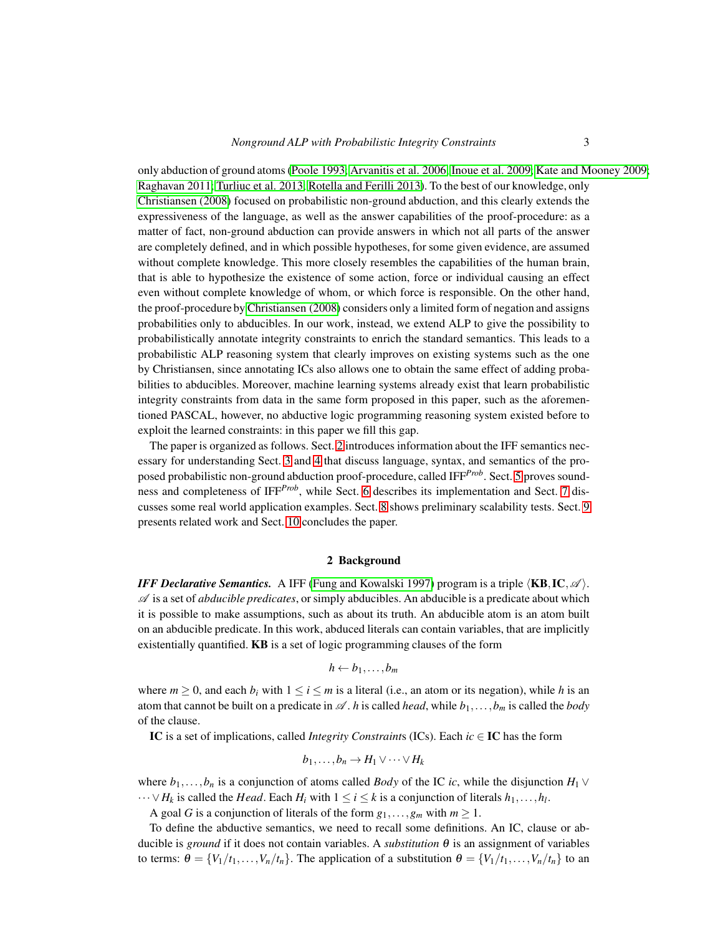only abduction of ground atoms (Poole 1993; [Arvanitis et al.](#page-14-0) 2006; Inoue et al. 2009; [Kate and Mooney 2009;](#page-15-7) Raghavan 2011; [Turliuc et al. 2013;](#page-15-8) Rotella and Ferilli 2013). To the best of our knowledge, only Christiansen (2008) focused on probabilistic non-ground abduction, and this clearly extends the expressiveness of the language, as well as the answer capabilities of the proof-procedure: as a matter of fact, non-ground abduction can provide answers in which not all parts of the answer are completely defined, and in which possible hypotheses, for some given evidence, are assumed without complete knowledge. This more closely resembles the capabilities of the human brain, that is able to hypothesize the existence of some action, force or individual causing an effect even without complete knowledge of whom, or which force is responsible. On the other hand, the proof-procedure by Christiansen (2008) considers only a limited form of negation and assigns probabilities only to abducibles. In our work, instead, we extend ALP to give the possibility to probabilistically annotate integrity constraints to enrich the standard semantics. This leads to a probabilistic ALP reasoning system that clearly improves on existing systems such as the one by Christiansen, since annotating ICs also allows one to obtain the same effect of adding probabilities to abducibles. Moreover, machine learning systems already exist that learn probabilistic integrity constraints from data in the same form proposed in this paper, such as the aforementioned PASCAL, however, no abductive logic programming reasoning system existed before to exploit the learned constraints: in this paper we fill this gap.

The paper is organized as follows. Sect. [2](#page-2-0) introduces information about the IFF semantics necessary for understanding Sect. [3](#page-3-0) and [4](#page-4-0) that discuss language, syntax, and semantics of the proposed probabilistic non-ground abduction proof-procedure, called IFF*Prob*. Sect. [5](#page-6-0) proves soundness and completeness of IFF*Prob*, while Sect. [6](#page-7-0) describes its implementation and Sect. [7](#page-10-0) discusses some real world application examples. Sect. [8](#page-12-0) shows preliminary scalability tests. Sect. [9](#page-13-0) presents related work and Sect. [10](#page-14-1) concludes the paper.

#### 2 Background

<span id="page-2-0"></span>*IFF Declarative Semantics.* A IFF [\(Fung and Kowalski 1997\)](#page-15-5) program is a triple  $\langle KB, IC, \mathscr{A} \rangle$ .  $\mathscr A$  is a set of *abducible predicates*, or simply abducibles. An abducible is a predicate about which it is possible to make assumptions, such as about its truth. An abducible atom is an atom built on an abducible predicate. In this work, abduced literals can contain variables, that are implicitly existentially quantified. KB is a set of logic programming clauses of the form

$$
h \leftarrow b_1, \ldots, b_m
$$

where  $m \ge 0$ , and each  $b_i$  with  $1 \le i \le m$  is a literal (i.e., an atom or its negation), while h is an atom that cannot be built on a predicate in  $\mathscr A$ . *h* is called *head*, while  $b_1, \ldots, b_m$  is called the *body* of the clause.

IC is a set of implications, called *Integrity Constraint*s (ICs). Each *ic* ∈ IC has the form

$$
b_1,\ldots,b_n\to H_1\vee\cdots\vee H_k
$$

where  $b_1, \ldots, b_n$  is a conjunction of atoms called *Body* of the IC *ic*, while the disjunction  $H_1 \vee$  $\cdots \vee H_k$  is called the *Head*. Each  $H_i$  with  $1 \leq i \leq k$  is a conjunction of literals  $h_1, \ldots, h_l$ .

A goal *G* is a conjunction of literals of the form  $g_1, \ldots, g_m$  with  $m \ge 1$ .

To define the abductive semantics, we need to recall some definitions. An IC, clause or abducible is *ground* if it does not contain variables. A *substitution* <sup>θ</sup> is an assignment of variables to terms:  $\theta = \{V_1/t_1, \ldots, V_n/t_n\}$ . The application of a substitution  $\theta = \{V_1/t_1, \ldots, V_n/t_n\}$  to an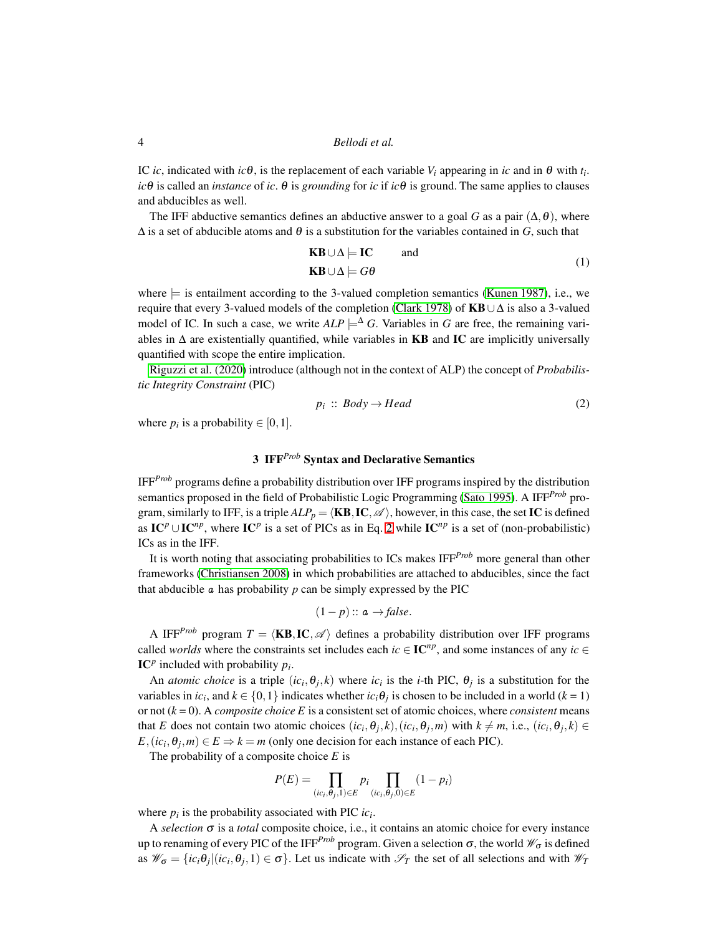IC *ic*, indicated with  $ic\theta$ , is the replacement of each variable  $V_i$  appearing in *ic* and in  $\theta$  with  $t_i$ . *ic*θ is called an *instance* of *ic*.  $θ$  is *grounding* for *ic* if *ic*θ is ground. The same applies to clauses and abducibles as well.

The IFF abductive semantics defines an abductive answer to a goal *G* as a pair  $(\Delta, \theta)$ , where  $\Delta$  is a set of abducible atoms and  $\theta$  is a substitution for the variables contained in *G*, such that

$$
KB \cup \Delta \models IC \qquad \text{and} \qquad (1)
$$
  

$$
KB \cup \Delta \models G\theta
$$

where  $\models$  is entailment according to the 3-valued completion semantics [\(Kunen 1987\)](#page-15-9), i.e., we require that every 3-valued models of the completion [\(Clark](#page-15-10) 1978) of KB∪∆ is also a 3-valued model of IC. In such a case, we write  $ALP \models^{\Delta} G$ . Variables in *G* are free, the remaining variables in  $\Delta$  are existentially quantified, while variables in **KB** and **IC** are implicitly universally quantified with scope the entire implication.

[Riguzzi et al. \(2020\)](#page-15-6) introduce (although not in the context of ALP) the concept of *Probabilistic Integrity Constraint* (PIC)

<span id="page-3-1"></span>
$$
p_i :: Body \rightarrow Head \tag{2}
$$

<span id="page-3-0"></span>where  $p_i$  is a probability  $\in [0,1]$ .

# 3 IFF*Prob* Syntax and Declarative Semantics

IFF*Prob* programs define a probability distribution over IFF programs inspired by the distribution semantics proposed in the field of Probabilistic Logic Programming (Sato 1995). A IFF*Prob* program, similarly to IFF, is a triple  $ALP_p = \langle KB, IC, \mathcal{A} \rangle$ , however, in this case, the set IC is defined as  $IC^p \cup IC^{np}$ , where  $IC^p$  is a set of PICs as in Eq. [2](#page-3-1) while  $IC^{np}$  is a set of (non-probabilistic) ICs as in the IFF.

It is worth noting that associating probabilities to ICs makes IFF*Prob* more general than other frameworks (Christiansen 2008) in which probabilities are attached to abducibles, since the fact that abducible  $\alpha$  has probability  $p$  can be simply expressed by the PIC

$$
(1-p) :: a \rightarrow false.
$$

A IFF<sup>*Prob*</sup> program  $T = \langle \mathbf{KB}, \mathbf{IC}, \mathcal{A} \rangle$  defines a probability distribution over IFF programs called *worlds* where the constraints set includes each  $ic \in \mathbf{IC}^{np}$ , and some instances of any  $ic \in \mathbb{R}^{np}$ IC<sup>*p*</sup> included with probability  $p_i$ .

An *atomic choice* is a triple  $(ic_i, \theta_j, k)$  where  $ic_i$  is the *i*-th PIC,  $\theta_j$  is a substitution for the variables in *ic<sub>i</sub>*, and  $k \in \{0, 1\}$  indicates whether *ic<sub>i</sub>* $\theta_j$  is chosen to be included in a world (*k* = 1) or not  $(k = 0)$ . A *composite choice* E is a consistent set of atomic choices, where *consistent* means that *E* does not contain two atomic choices  $(ic_i, \theta_j, k), (ic_i, \theta_j, m)$  with  $k \neq m$ , i.e.,  $(ic_i, \theta_j, k) \in$  $E$ ,  $(ic_i, \theta_j, m) \in E \Rightarrow k = m$  (only one decision for each instance of each PIC).

The probability of a composite choice *E* is

$$
P(E) = \prod_{(ic_i, \theta_j, 1) \in E} p_i \prod_{(ic_i, \theta_j, 0) \in E} (1 - p_i)
$$

where  $p_i$  is the probability associated with PIC  $ic_i$ .

A *selection*  $\sigma$  is a *total* composite choice, i.e., it contains an atomic choice for every instance up to renaming of every PIC of the IFF<sup>*Prob*</sup> program. Given a selection  $\sigma$ , the world  $\mathcal{W}_{\sigma}$  is defined as  $\mathscr{W}_{\sigma} = \{ic_i\theta_j | (ic_i, \theta_j, 1) \in \sigma\}$ . Let us indicate with  $\mathscr{S}_T$  the set of all selections and with  $\mathscr{W}_T$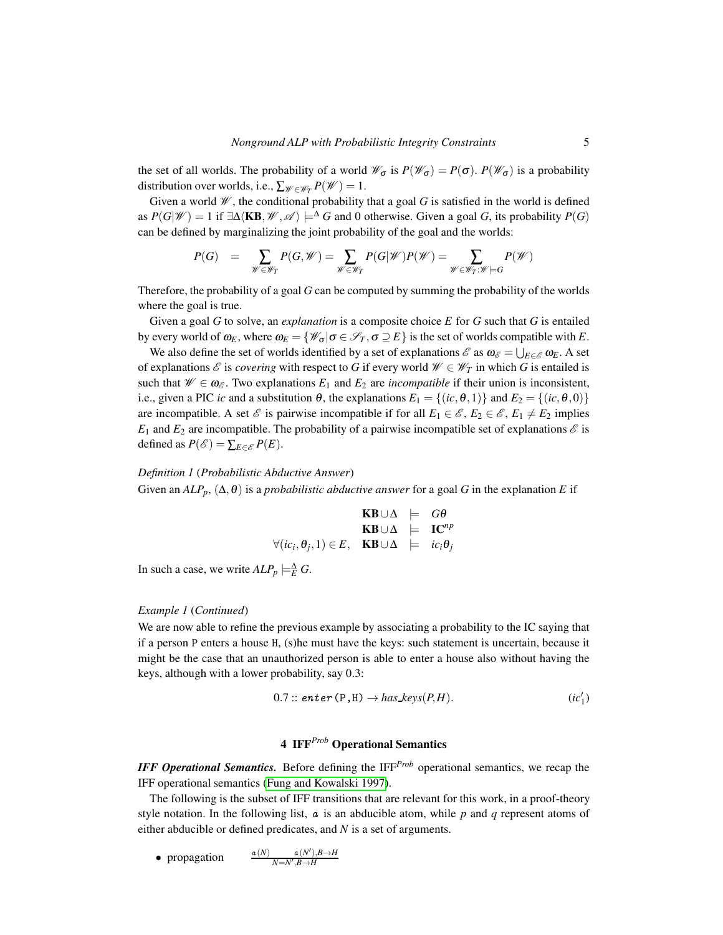the set of all worlds. The probability of a world  $\mathcal{W}_{\sigma}$  is  $P(\mathcal{W}_{\sigma}) = P(\sigma)$ .  $P(\mathcal{W}_{\sigma})$  is a probability distribution over worlds, i.e.,  $\sum_{\mathscr{W} \in \mathscr{W}_T} P(\mathscr{W}) = 1$ .

Given a world  $\mathcal W$ , the conditional probability that a goal G is satisfied in the world is defined as  $P(G|\mathscr{W}) = 1$  if  $\exists \Delta \langle \mathbf{KB}, \mathscr{W}, \mathscr{A} \rangle \models^{\Delta} G$  and 0 otherwise. Given a goal *G*, its probability  $P(G)$ can be defined by marginalizing the joint probability of the goal and the worlds:

$$
P(G) \quad = \quad \sum_{\mathscr{W} \in \mathscr{W}_{T}} P(G, \mathscr{W}) = \sum_{\mathscr{W} \in \mathscr{W}_{T}} P(G|\mathscr{W})P(\mathscr{W}) = \sum_{\mathscr{W} \in \mathscr{W}_{T} : \mathscr{W} \models G} P(\mathscr{W})
$$

Therefore, the probability of a goal *G* can be computed by summing the probability of the worlds where the goal is true.

Given a goal *G* to solve, an *explanation* is a composite choice *E* for *G* such that *G* is entailed by every world of  $\omega_E$ , where  $\omega_E = \{ \mathcal{W}_\sigma | \sigma \in \mathcal{S}_T, \sigma \supseteq E \}$  is the set of worlds compatible with *E*.

We also define the set of worlds identified by a set of explanations  $\mathscr{E}$  as  $\omega_{\mathscr{E}} = \bigcup_{E \in \mathscr{E}} \omega_E$ . A set of explanations  $\mathscr E$  is *covering* with respect to *G* if every world  $\mathscr W \in \mathscr W_T$  in which *G* is entailed is such that  $\mathscr{W} \in \omega_{\mathscr{E}}$ . Two explanations  $E_1$  and  $E_2$  are *incompatible* if their union is inconsistent, i.e., given a PIC *ic* and a substitution  $\theta$ , the explanations  $E_1 = \{(ic, \theta, 1)\}$  and  $E_2 = \{(ic, \theta, 0)\}$ are incompatible. A set  $\mathscr E$  is pairwise incompatible if for all  $E_1 \in \mathscr E$ ,  $E_2 \in \mathscr E$ ,  $E_1 \neq E_2$  implies  $E_1$  and  $E_2$  are incompatible. The probability of a pairwise incompatible set of explanations  $\mathscr E$  is defined as  $P(\mathscr{E}) = \sum_{E \in \mathscr{E}} P(E)$ .

#### *Definition 1* (*Probabilistic Abductive Answer*)

Given an  $ALP_p$ ,  $(\Delta, \theta)$  is a *probabilistic abductive answer* for a goal *G* in the explanation *E* if

$$
\begin{array}{rcl}\n\mathbf{KB} \cup \Delta & \models & G\theta \\
\mathbf{KB} \cup \Delta & \models & \mathbf{IC}^{np} \\
\forall (ic_i, \theta_j, 1) \in E, & \mathbf{KB} \cup \Delta & \models & ic_i \theta_j\n\end{array}
$$

In such a case, we write  $ALP_p \models_E^{\Delta} G$ .

#### *Example 1* (*Continued*)

We are now able to refine the previous example by associating a probability to the IC saying that if a person P enters a house H, (s)he must have the keys: such statement is uncertain, because it might be the case that an unauthorized person is able to enter a house also without having the keys, although with a lower probability, say 0.3:

$$
0.7::\mathit{enter}(P,H)\rightarrow \textit{has} \textit{keys}(P,H). \qquad (ic'_1)
$$

## <span id="page-4-1"></span>4 IFF*Prob* Operational Semantics

<span id="page-4-0"></span>*IFF Operational Semantics.* Before defining the IFF*Prob* operational semantics, we recap the IFF operational semantics [\(Fung and Kowalski 1997\)](#page-15-5).

The following is the subset of IFF transitions that are relevant for this work, in a proof-theory style notation. In the following list, a is an abducible atom, while *p* and *q* represent atoms of either abducible or defined predicates, and *N* is a set of arguments.

• propagation 
$$
\frac{a(N)}{N=N',B\rightarrow H}
$$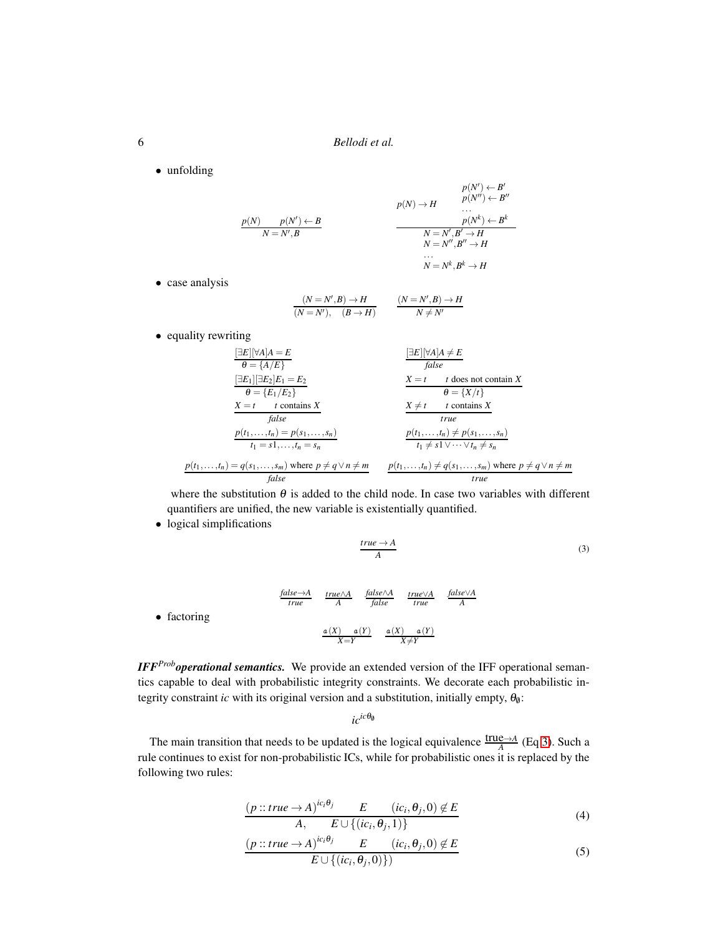• unfolding

$$
p(N) \rightarrow H
$$
  
\n
$$
p(N) \rightarrow H
$$
  
\n
$$
p(N') \leftarrow B'
$$
  
\n
$$
p(N') \leftarrow B'
$$
  
\n
$$
p(N') \leftarrow B'
$$
  
\n
$$
p(N') \leftarrow B'
$$
  
\n
$$
p(N') \leftarrow B'
$$
  
\n
$$
p(N') \leftarrow B'
$$
  
\n
$$
p(N') \leftarrow B'
$$
  
\n
$$
N = N', B' \rightarrow H
$$
  
\n
$$
N = N'', B'' \rightarrow H
$$
  
\n...

 $N = N^k, B^k \to H$ 

• case analysis

$$
\frac{(N=N',B)\to H}{(N=N') ,\quad (B\to H)} \qquad \frac{(N=N',B)\to H}{N\neq N'}
$$

• equality rewriting

$$
\frac{[\exists E][\forall A]A = E}{\theta = \{A/E\}}
$$
\n
$$
\frac{[\exists E][\exists E_1][\exists E_2]E_1 = E_2}{\theta = \{E_1/E_2\}}
$$
\n
$$
\frac{X = t \quad t \text{ coes not contain } X}{\theta = \{E_1/E_2\}}
$$
\n
$$
\frac{X = t \quad t \text{ contains } X}{\theta = \{X/t\}}
$$
\n
$$
\frac{X \neq t \quad t \text{ contains } X}{\text{ true}}
$$
\n
$$
\frac{p(t_1, \ldots, t_n) = p(s_1, \ldots, s_n)}{t_1 = s_1, \ldots, t_n = s_n}
$$
\n
$$
\frac{p(t_1, \ldots, t_n) \neq p(s_1, \ldots, s_n)}{t_1 \neq s_1 \lor \cdots \lor t_n \neq s_n}
$$
\n
$$
p(t_1, \ldots, t_n) = q(s_1, \ldots, s_m) \text{ where } p \neq q \lor n \neq m
$$
\n
$$
\frac{p(t_1, \ldots, t_n) \neq q(s_1, \ldots, s_m) \text{ where } p \neq q \lor n \neq m}{\text{ false}}
$$
\n
$$
\frac{p(t_1, \ldots, t_n) \neq q(s_1, \ldots, s_m) \text{ where } p \neq q \lor n \neq m}{\text{ true}}
$$

where the substitution  $\theta$  is added to the child node. In case two variables with different quantifiers are unified, the new variable is existentially quantified.

• logical simplifications

<span id="page-5-0"></span>
$$
\frac{true \to A}{A}
$$
 (3)  
false\to A  
true  

$$
\frac{true \land A}{A}
$$
 false<sup>A</sup>
$$
\frac{true \lor A}{true}
$$
 false<sup>A</sup>
$$
\frac{false \lor A}{A}
$$

 $a(X)$   $a(Y)$  $X \neq Y$ 

• factoring

*IFF<sup>Prob</sup> operational semantics.* We provide an extended version of the IFF operational semantics capable to deal with probabilistic integrity constraints. We decorate each probabilistic integrity constraint *ic* with its original version and a substitution, initially empty, 
$$
\theta_0
$$
:

 $a(X)$   $a(Y)$ *X*=*Y*

 $i c^{ic\theta_{\emptyset}}$ 

The main transition that needs to be updated is the logical equivalence  $\frac{\text{true} \rightarrow A}{A}$  (Eq [3\)](#page-5-0). Such a rule continues to exist for non-probabilistic ICs, while for probabilistic ones it is replaced by the following two rules:

<span id="page-5-1"></span>
$$
\frac{(p::true \to A)^{ic_i \theta_j} \qquad E \qquad (ic_i, \theta_j, 0) \notin E}{A, \qquad E \cup \{(ic_i, \theta_j, 1)\}\qquad (4)
$$

$$
\frac{(p::true \to A)^{ic_i \theta_j} \qquad E \qquad (ic_i, \theta_j, 0) \notin E}{E \cup \{(ic_i, \theta_j, 0)\})} \tag{5}
$$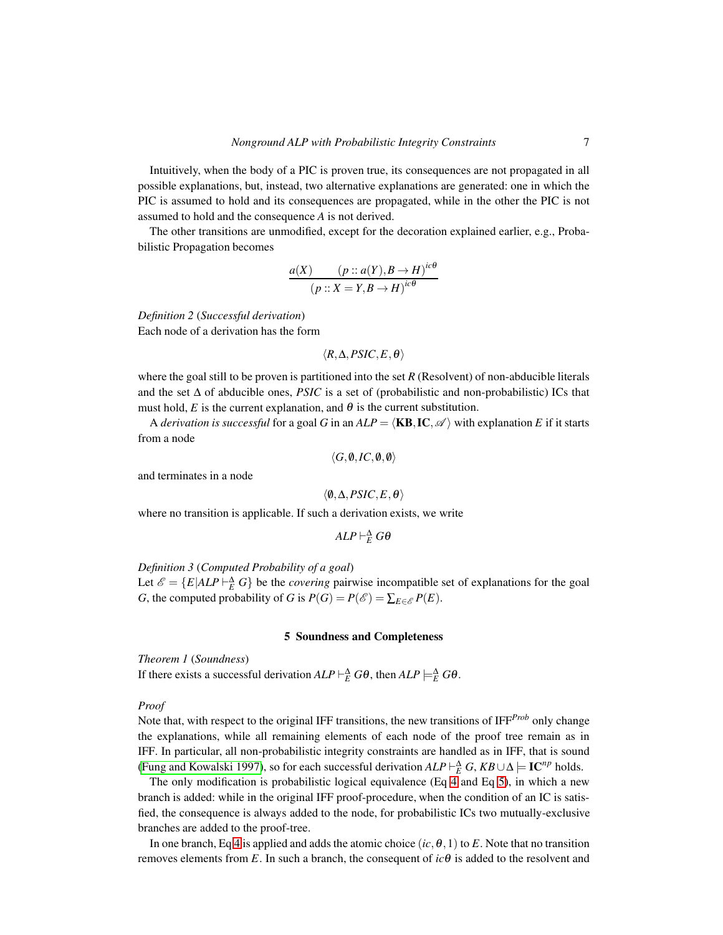Intuitively, when the body of a PIC is proven true, its consequences are not propagated in all possible explanations, but, instead, two alternative explanations are generated: one in which the PIC is assumed to hold and its consequences are propagated, while in the other the PIC is not assumed to hold and the consequence *A* is not derived.

The other transitions are unmodified, except for the decoration explained earlier, e.g., Probabilistic Propagation becomes

$$
\frac{a(X) \qquad (p::a(Y), B \to H)^{ic\theta}}{(p::X = Y, B \to H)^{ic\theta}}
$$

*Definition 2* (*Successful derivation*) Each node of a derivation has the form

 $\langle R,\Delta,PSIC,E,\theta \rangle$ 

where the goal still to be proven is partitioned into the set *R* (Resolvent) of non-abducible literals and the set ∆ of abducible ones, *PSIC* is a set of (probabilistic and non-probabilistic) ICs that must hold, *E* is the current explanation, and  $\theta$  is the current substitution.

A *derivation is successful* for a goal *G* in an  $ALP = \langle KB, IC, \mathcal{A} \rangle$  with explanation *E* if it starts from a node

$$
\langle G,\emptyset,IC,\emptyset,\emptyset\rangle
$$

and terminates in a node

$$
\langle \emptyset, \Delta, PSLC, E, \theta \rangle
$$

where no transition is applicable. If such a derivation exists, we write

$$
ALP\vdash_E^{\Delta} G\theta
$$

<span id="page-6-1"></span>*Definition 3* (*Computed Probability of a goal*)

Let  $\mathscr{E} = \{E|ALP \sqcup_E^{\Delta} G\}$  be the *covering* pairwise incompatible set of explanations for the goal *G*, the computed probability of *G* is  $P(G) = P(\mathcal{E}) = \sum_{E \in \mathcal{E}} P(E)$ .

## 5 Soundness and Completeness

<span id="page-6-0"></span>*Theorem 1* (*Soundness*)

If there exists a successful derivation  $ALP \vdash_E^{\Delta} G\theta$ , then  $ALP \models_E^{\Delta} G\theta$ .

#### *Proof*

Note that, with respect to the original IFF transitions, the new transitions of IFF*Prob* only change the explanations, while all remaining elements of each node of the proof tree remain as in IFF. In particular, all non-probabilistic integrity constraints are handled as in IFF, that is sound [\(Fung and Kowalski 1997\)](#page-15-5), so for each successful derivation  $ALP \vdash_E^{\Delta} G$ ,  $KB \cup \Delta \models \mathbf{IC}^{np}$  holds.

The only modification is probabilistic logical equivalence (Eq [4](#page-5-1) and Eq [5\)](#page-5-1), in which a new branch is added: while in the original IFF proof-procedure, when the condition of an IC is satisfied, the consequence is always added to the node, for probabilistic ICs two mutually-exclusive branches are added to the proof-tree.

In one branch, Eq [4](#page-5-1) is applied and adds the atomic choice  $(i, \theta, 1)$  to *E*. Note that no transition removes elements from *E*. In such a branch, the consequent of  $ic\theta$  is added to the resolvent and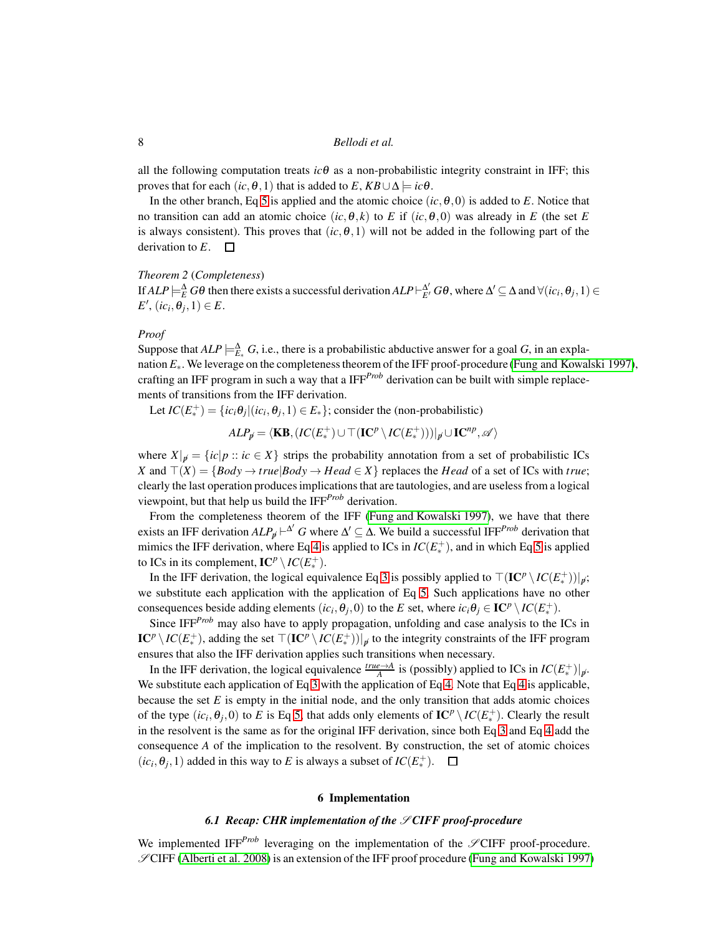all the following computation treats  $ic\theta$  as a non-probabilistic integrity constraint in IFF; this proves that for each  $(ic, \theta, 1)$  that is added to  $E, KB \cup \Delta \models ic\theta$ .

In the other branch, Eq [5](#page-5-1) is applied and the atomic choice  $(i, \theta, 0)$  is added to *E*. Notice that no transition can add an atomic choice  $(ic, \theta, k)$  to *E* if  $(ic, \theta, 0)$  was already in *E* (the set *E* is always consistent). This proves that  $(ic, \theta, 1)$  will not be added in the following part of the derivation to  $E$ .  $\square$ 

#### *Theorem 2* (*Completeness*)

If  $ALP \models_E^{\Delta} G\theta$  then there exists a successful derivation  $ALP \vdash_E^{\Delta'} G\theta$ , where  $\Delta' \subseteq \Delta$  and  $\forall (ic_i, \theta_j, 1) \in$  $E'$ ,  $(ic_i, \theta_j, 1) \in E$ .

## *Proof*

Suppose that  $ALP \models_{E_{*}}^{\Delta} G$ , i.e., there is a probabilistic abductive answer for a goal *G*, in an explanation *E*∗. We leverage on the completeness theorem of the IFF proof-procedure [\(Fung and Kowalski 1997\)](#page-15-5), crafting an IFF program in such a way that a IFF*Prob* derivation can be built with simple replacements of transitions from the IFF derivation.

Let  $IC(E_*^+$  $\mathcal{L}_{*}^{+}$ ) = {*ic<sub>i</sub>* $\theta$ <sub>j</sub>|(*ic<sub>i</sub>*, $\theta$ <sub>*j*</sub>, 1) ∈ *E*<sub>\*</sub>}; consider the (non-probabilistic)

$$
ALP_{\not p} = \langle \mathbf{KB}, (IC(E^+_{\ast}) \cup \top (\mathbf{IC}^p \setminus IC(E^+_{\ast})))|_{\not p} \cup \mathbf{IC}^{np}, \mathscr{A} \rangle
$$

where  $X|_{\mathcal{B}} = \{ic|p:: ic \in X\}$  strips the probability annotation from a set of probabilistic ICs *X* and  $\top$ (*X*) = {*Body* → *true*|*Body* → *Head* ∈ *X*} replaces the *Head* of a set of ICs with *true*; clearly the last operation produces implications that are tautologies, and are useless from a logical viewpoint, but that help us build the IFF*Prob* derivation.

From the completeness theorem of the IFF [\(Fung and Kowalski 1997\)](#page-15-5), we have that there exists an IFF derivation  $ALP_{\emptyset} \vdash^{\Delta'} G$  where  $\Delta' \subseteq \Delta$ . We build a successful IFF<sup>*Prob*</sup> derivation that mimics the IFF derivation, where Eq [4](#page-5-1) is applied to ICs in  $IC(E^+_{\ast})$ ∗ ), and in which Eq [5](#page-5-1) is applied to ICs in its complement,  $IC^p \setminus IC(E_*^+)$ .

In the IFF derivation, the logical equivalence Eq [3](#page-5-0) is possibly applied to  $\lceil (\mathbf{IC}^p \setminus IC(E_*^+)) \rceil_p;$ we substitute each application with the application of Eq [5.](#page-5-1) Such applications have no other consequences beside adding elements  $(ic_i, \theta_j, 0)$  to the *E* set, where  $ic_i\theta_j \in \mathbf{IC}^p \setminus IC(E^+_{*})$ .

Since IFF<sup>*Prob*</sup> may also have to apply propagation, unfolding and case analysis to the ICs in  $\mathbf{IC}^p\setminus IC(E_*^+$ <sup>+</sup>, adding the set  $\top$ (**IC**<sup>*p*</sup> \ *IC*(*E*<sup>+</sup>) <sup>++</sup>))|<sub>ø</sub> to the integrity constraints of the IFF program ensures that also the IFF derivation applies such transitions when necessary.

In the IFF derivation, the logical equivalence  $\frac{true \rightarrow A}{A}$  is (possibly) applied to ICs in  $IC(E^+_{\ast})$ ∗ )|6*p*. We substitute each application of Eq [3](#page-5-0) with the application of Eq [4.](#page-5-1) Note that Eq [4](#page-5-1) is applicable, because the set *E* is empty in the initial node, and the only transition that adds atomic choices of the type  $(ic_i, \theta_j, 0)$  to *E* is Eq [5,](#page-5-1) that adds only elements of  $\mathbf{IC}^p \setminus IC(E^+_{\ast})$ ∗ ). Clearly the result in the resolvent is the same as for the original IFF derivation, since both Eq [3](#page-5-0) and Eq [4](#page-5-1) add the consequence *A* of the implication to the resolvent. By construction, the set of atomic choices  $(ic_i, \theta_j, 1)$  added in this way to *E* is always a subset of *IC*( $E^+_*$ ∗ ).

#### 6 Implementation

## *6.1 Recap: CHR implementation of the*  $\mathscr{S}$ *CIFF proof-procedure*

<span id="page-7-0"></span>We implemented IFF<sup>*Prob*</sup> leveraging on the implementation of the  $\mathscr{S}$ CIFF proof-procedure.  $\mathscr{S}$ CIFF [\(Alberti et al. 2008\)](#page-14-2) is an extension of the IFF proof procedure [\(Fung and Kowalski 1997\)](#page-15-5)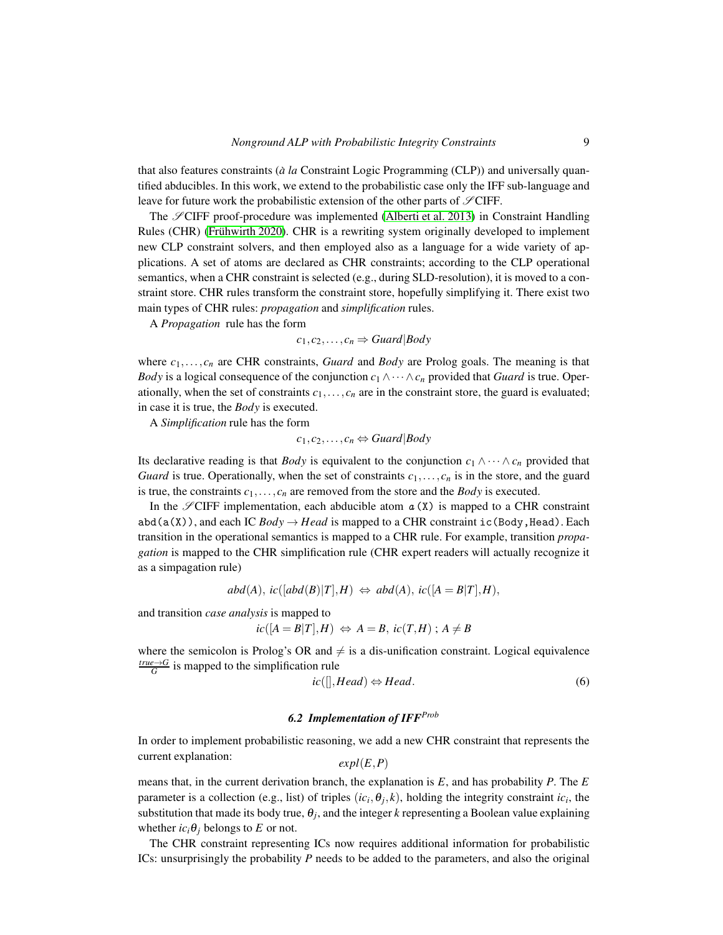that also features constraints (*à la* Constraint Logic Programming (CLP)) and universally quantified abducibles. In this work, we extend to the probabilistic case only the IFF sub-language and leave for future work the probabilistic extension of the other parts of  $\mathscr{S}ClFF$ .

The  $\mathscr{S}$ CIFF proof-procedure was implemented [\(Alberti et al. 2013\)](#page-14-3) in Constraint Handling Rules (CHR) (Frühwirth 2020). CHR is a rewriting system originally developed to implement new CLP constraint solvers, and then employed also as a language for a wide variety of applications. A set of atoms are declared as CHR constraints; according to the CLP operational semantics, when a CHR constraint is selected (e.g., during SLD-resolution), it is moved to a constraint store. CHR rules transform the constraint store, hopefully simplifying it. There exist two main types of CHR rules: *propagation* and *simplification* rules.

A *Propagation* rule has the form

$$
c_1, c_2, \ldots, c_n \Rightarrow Guard|Body
$$

where *c*1,...,*c<sup>n</sup>* are CHR constraints, *Guard* and *Body* are Prolog goals. The meaning is that *Body* is a logical consequence of the conjunction  $c_1 \wedge \cdots \wedge c_n$  provided that *Guard* is true. Operationally, when the set of constraints  $c_1, \ldots, c_n$  are in the constraint store, the guard is evaluated; in case it is true, the *Body* is executed.

A *Simplification* rule has the form

 $c_1, c_2, \ldots, c_n \Leftrightarrow$  *Guard* | *Body* 

Its declarative reading is that *Body* is equivalent to the conjunction  $c_1 \wedge \cdots \wedge c_n$  provided that *Guard* is true. Operationally, when the set of constraints  $c_1, \ldots, c_n$  is in the store, and the guard is true, the constraints  $c_1, \ldots, c_n$  are removed from the store and the *Body* is executed.

In the  $\mathscr{S}$ CIFF implementation, each abducible atom  $\alpha$  (X) is mapped to a CHR constraint abd(a(X)), and each IC  $Body \rightarrow Head$  is mapped to a CHR constraint ic(Body, Head). Each transition in the operational semantics is mapped to a CHR rule. For example, transition *propagation* is mapped to the CHR simplification rule (CHR expert readers will actually recognize it as a simpagation rule)

$$
abd(A), ic([abd(B)|T], H) \Leftrightarrow abd(A), ic([A = B|T], H),
$$

and transition *case analysis* is mapped to

$$
ic([A = B|T], H) \Leftrightarrow A = B, ic(T, H); A \neq B
$$

where the semicolon is Prolog's OR and  $\neq$  is a dis-unification constraint. Logical equivalence  $\frac{true \rightarrow G}{G}$  is mapped to the simplification rule

<span id="page-8-0"></span>
$$
ic([\cdot], Head) \Leftrightarrow Head. \tag{6}
$$

# *6.2 Implementation of IFFProb*

In order to implement probabilistic reasoning, we add a new CHR constraint that represents the current explanation: *expl*(*E*,*P*)

means that, in the current derivation branch, the explanation is *E*, and has probability *P*. The *E* parameter is a collection (e.g., list) of triples (
$$
ic_i
$$
,  $\theta_j$ ,  $k$ ), holding the integrity constraint  $ic_i$ , the substitution that made its body true,  $\theta_j$ , and the integer *k* representing a Boolean value explaining whether  $ic_i\theta_j$  belongs to *E* or not.

The CHR constraint representing ICs now requires additional information for probabilistic ICs: unsurprisingly the probability *P* needs to be added to the parameters, and also the original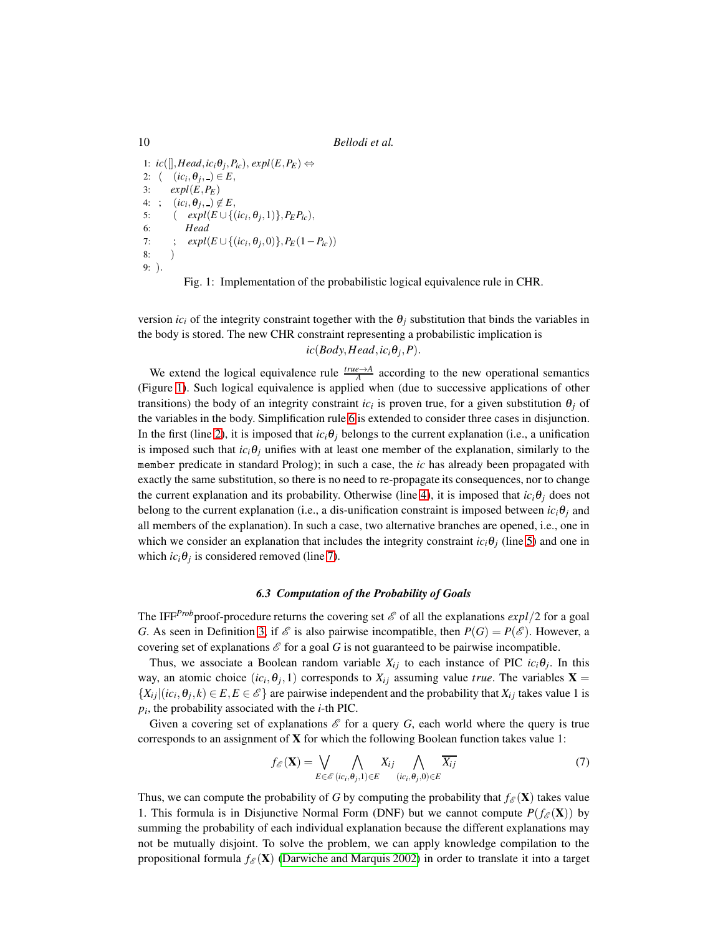1:  $ic([[,Head,ic_iθ_j, P_{ic}), expI(E, P_E)$  ⇔ 2:  $(i c_i, \theta_j, ) \in E$ , 3: *expl*(*E*,*PE*) 4: ;  $\left( i \, c_i, \theta_j, \_\right) \notin E$ , 5:  $(\exp\{E \cup \{(ic_i, \theta_j, 1)\}, P_E P_{ic}),$ 6: *Head* 7:  $\qquad ; \quad expl(E \cup \{(ic_i, \theta_j, 0)\}, P_E(1 - P_{ic}))$ 8: ) 9: ).

Fig. 1: Implementation of the probabilistic logical equivalence rule in CHR.

version  $ic_i$  of the integrity constraint together with the  $\theta_i$  substitution that binds the variables in the body is stored. The new CHR constraint representing a probabilistic implication is  $ic(Body, Head, ic_i\theta_j, P).$ 

We extend the logical equivalence rule  $\frac{true \rightarrow A}{A}$  according to the new operational semantics (Figure [1\)](#page-9-0). Such logical equivalence is applied when (due to successive applications of other transitions) the body of an integrity constraint  $ic_i$  is proven true, for a given substitution  $\theta_j$  of the variables in the body. Simplification rule [6](#page-8-0) is extended to consider three cases in disjunction. In the first (line [2\)](#page-9-0), it is imposed that  $ic_i\theta_j$  belongs to the current explanation (i.e., a unification is imposed such that  $ic_i\theta_j$  unifies with at least one member of the explanation, similarly to the member predicate in standard Prolog); in such a case, the *ic* has already been propagated with exactly the same substitution, so there is no need to re-propagate its consequences, nor to change the current explanation and its probability. Otherwise (line [4\)](#page-9-0), it is imposed that  $ic_i\theta_j$  does not belong to the current explanation (i.e., a dis-unification constraint is imposed between  $ic_i\theta_i$  and all members of the explanation). In such a case, two alternative branches are opened, i.e., one in which we consider an explanation that includes the integrity constraint  $ic_i\theta_i$  (line [5\)](#page-9-0) and one in which  $ic_i\theta_j$  is considered removed (line [7\)](#page-9-0).

## *6.3 Computation of the Probability of Goals*

The IFF<sup>*Prob*</sup>proof-procedure returns the covering set  $\mathscr E$  of all the explanations  $expl/2$  for a goal *G*. As seen in Definition [3,](#page-6-1) if  $\mathscr E$  is also pairwise incompatible, then  $P(G) = P(\mathscr E)$ . However, a covering set of explanations  $\mathscr E$  for a goal G is not guaranteed to be pairwise incompatible.

Thus, we associate a Boolean random variable  $X_{ij}$  to each instance of PIC  $ic_i\theta_j$ . In this way, an atomic choice  $(ic_i, \theta_j, 1)$  corresponds to  $X_{ij}$  assuming value *true*. The variables  $X =$  $\{X_{ij} | (ic_i, \theta_j, k) \in E, E \in \mathcal{E}\}\$  are pairwise independent and the probability that  $X_{ij}$  takes value 1 is *pi* , the probability associated with the *i*-th PIC.

Given a covering set of explanations  $\mathscr E$  for a query *G*, each world where the query is true corresponds to an assignment of X for which the following Boolean function takes value 1:

$$
f_{\mathscr{E}}(\mathbf{X}) = \bigvee_{E \in \mathscr{E}} \bigwedge_{(ic_i, \theta_j, 1) \in E} X_{ij} \bigwedge_{(ic_i, \theta_j, 0) \in E} \overline{X_{ij}} \tag{7}
$$

Thus, we can compute the probability of *G* by computing the probability that  $f_{\mathscr{E}}(\mathbf{X})$  takes value 1. This formula is in Disjunctive Normal Form (DNF) but we cannot compute  $P(f_{\mathscr{E}}(\mathbf{X}))$  by summing the probability of each individual explanation because the different explanations may not be mutually disjoint. To solve the problem, we can apply knowledge compilation to the propositional formula  $f_{\mathscr{E}}(\mathbf{X})$  (Darwiche and Marquis 2002) in order to translate it into a target

<span id="page-9-0"></span>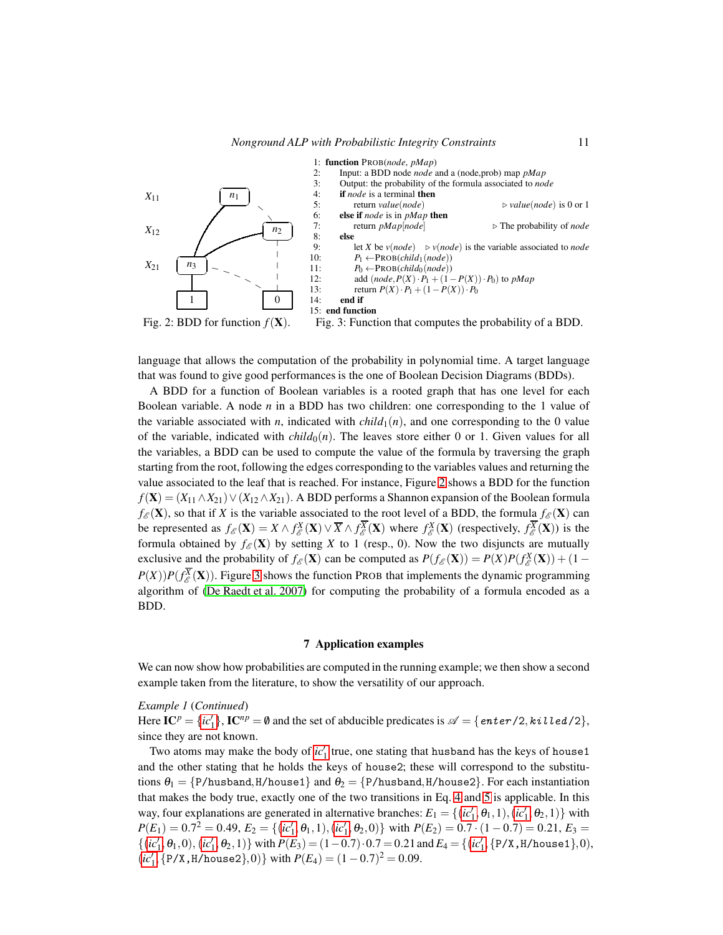<span id="page-10-1"></span>

language that allows the computation of the probability in polynomial time. A target language that was found to give good performances is the one of Boolean Decision Diagrams (BDDs).

A BDD for a function of Boolean variables is a rooted graph that has one level for each Boolean variable. A node *n* in a BDD has two children: one corresponding to the 1 value of the variable associated with *n*, indicated with  $child_1(n)$ , and one corresponding to the 0 value of the variable, indicated with  $child_0(n)$ . The leaves store either 0 or 1. Given values for all the variables, a BDD can be used to compute the value of the formula by traversing the graph starting from the root, following the edges corresponding to the variables values and returning the value associated to the leaf that is reached. For instance, Figure [2](#page-10-1) shows a BDD for the function  $f(X) = (X_{11} \wedge X_{21}) \vee (X_{12} \wedge X_{21})$ . A BDD performs a Shannon expansion of the Boolean formula  $f_{\mathscr{E}}(\mathbf{X})$ , so that if *X* is the variable associated to the root level of a BDD, the formula  $f_{\mathscr{E}}(\mathbf{X})$  can be represented as  $f_{\mathscr{E}}(\mathbf{X}) = X \wedge f_{\mathscr{E}}^X(\mathbf{X}) \vee \overline{X} \wedge f_{\mathscr{E}}^{\overline{X}}(\mathbf{X})$  where  $f_{\mathscr{E}}^X(\mathbf{X})$  (respectively,  $f_{\mathscr{E}}^{\overline{X}}(\mathbf{X})$ ) is the formula obtained by  $f_{\mathscr{E}}(\mathbf{X})$  by setting *X* to 1 (resp., 0). Now the two disjuncts are mutually exclusive and the probability of  $f_{\mathscr{E}}(\mathbf{X})$  can be computed as  $P(f_{\mathscr{E}}(\mathbf{X})) = P(X)P(f_{\mathscr{E}}^X(\mathbf{X})) + (1 - \mathbb{E}(\mathbf{X}))$  $P(X)$ ) $P(f_{\mathscr{E}}^{\overline{X}}(X))$ . Figure [3](#page-10-1) shows the function PROB that implements the dynamic programming algorithm of (De Raedt et al. 2007) for computing the probability of a formula encoded as a BDD.

#### 7 Application examples

<span id="page-10-0"></span>We can now show how probabilities are computed in the running example; we then show a second example taken from the literature, to show the versatility of our approach.

#### *Example 1* (*Continued*)

Here  $IC^p = \{ic'_1\}$  $IC^p = \{ic'_1\}$  $IC^p = \{ic'_1\}$ ,  $IC^{np} = \emptyset$  and the set of abducible predicates is  $\mathscr{A} = \{\text{enter/2}, \text{killed/2}\},$ since they are not known.

Two atoms may make the body of  $ic'_1$  $ic'_1$  true, one stating that husband has the keys of house1 and the other stating that he holds the keys of house2; these will correspond to the substitutions  $\theta_1 = \{P/husband, H/house1\}$  and  $\theta_2 = \{P/husband, H/house2\}$ . For each instantiation that makes the body true, exactly one of the two transitions in Eq. [4](#page-5-1) and [5](#page-5-1) is applicable. In this way, four explanations are generated in alternative branches:  $E_1 = \{(ic'_1, \theta_1, 1), (ic'_1, \theta_2, 1)\}$  $E_1 = \{(ic'_1, \theta_1, 1), (ic'_1, \theta_2, 1)\}$  $E_1 = \{(ic'_1, \theta_1, 1), (ic'_1, \theta_2, 1)\}$  with  $P(E_1) = 0.7^2 = 0.49, E_2 = \{(ic'_1, \theta_1, 1), (ic'_1, \theta_2, 0)\}$  $P(E_1) = 0.7^2 = 0.49, E_2 = \{(ic'_1, \theta_1, 1), (ic'_1, \theta_2, 0)\}$  $P(E_1) = 0.7^2 = 0.49, E_2 = \{(ic'_1, \theta_1, 1), (ic'_1, \theta_2, 0)\}$  with  $P(E_2) = 0.7 \cdot (1 - 0.7) = 0.21, E_3 =$  $\{(ic'_1, \theta_1, 0), (ic'_1, \theta_2, 1)\}$  $\{(ic'_1, \theta_1, 0), (ic'_1, \theta_2, 1)\}$  $\{(ic'_1, \theta_1, 0), (ic'_1, \theta_2, 1)\}$  with  $P(E_3) = (1 - 0.7) \cdot 0.7 = 0.21$  and  $E_4 = \{(ic'_1, \{P/X, H/house1\}, 0),$  $(ic'_1, {P/X, H/house2}, 0)$  $(ic'_1, {P/X, H/house2}, 0)$  $(ic'_1, {P/X, H/house2}, 0)$ } with  $P(E_4) = (1 - 0.7)^2 = 0.09$ .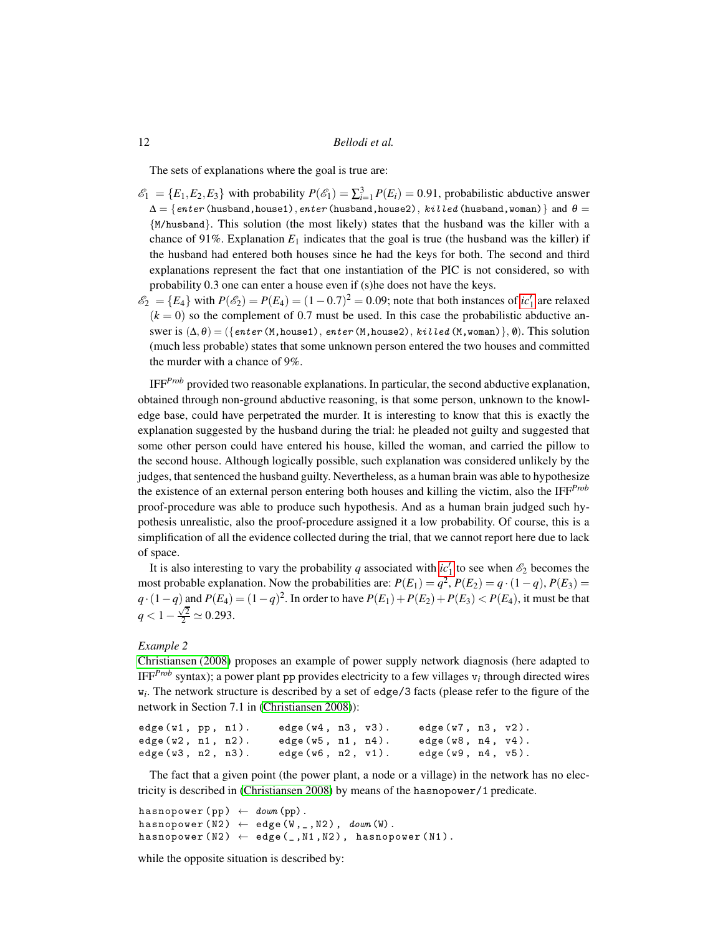The sets of explanations where the goal is true are:

- $\mathscr{E}_1 = \{E_1, E_2, E_3\}$  with probability  $P(\mathscr{E}_1) = \sum_{i=1}^3 P(E_i) = 0.91$ , probabilistic abductive answer  $\Delta = \{enter$  (husband,house1),enter (husband,house2), killed (husband,woman)} and  $\theta =$ {M/husband}. This solution (the most likely) states that the husband was the killer with a chance of 91%. Explanation  $E_1$  indicates that the goal is true (the husband was the killer) if the husband had entered both houses since he had the keys for both. The second and third explanations represent the fact that one instantiation of the PIC is not considered, so with probability 0.3 one can enter a house even if (s)he does not have the keys.
- $\mathscr{E}_2 = \{E_4\}$  with  $P(\mathscr{E}_2) = P(E_4) = (1 0.7)^2 = 0.09$ ; note that both instances of *[ic](#page-4-1)*<sup>'</sup><sub>1</sub> are relaxed  $(k = 0)$  so the complement of 0.7 must be used. In this case the probabilistic abductive answer is  $(\Delta, \theta) = (\{enter(M, house1), enter(M, house2), killed(M,woman), \emptyset).$  This solution (much less probable) states that some unknown person entered the two houses and committed the murder with a chance of 9%.

IFF*Prob* provided two reasonable explanations. In particular, the second abductive explanation, obtained through non-ground abductive reasoning, is that some person, unknown to the knowledge base, could have perpetrated the murder. It is interesting to know that this is exactly the explanation suggested by the husband during the trial: he pleaded not guilty and suggested that some other person could have entered his house, killed the woman, and carried the pillow to the second house. Although logically possible, such explanation was considered unlikely by the judges, that sentenced the husband guilty. Nevertheless, as a human brain was able to hypothesize the existence of an external person entering both houses and killing the victim, also the IFF*Prob* proof-procedure was able to produce such hypothesis. And as a human brain judged such hypothesis unrealistic, also the proof-procedure assigned it a low probability. Of course, this is a simplification of all the evidence collected during the trial, that we cannot report here due to lack of space.

It is also interesting to vary the probability *q* associated with  $ic'_1$  $ic'_1$  to see when  $\mathscr{E}_2$  becomes the most probable explanation. Now the probabilities are:  $P(E_1) = q^2$ ,  $P(E_2) = q \cdot (1 - q)$ ,  $P(E_3) =$ *q* · (1−*q*) and *P*(*E*<sub>4</sub>) = (1−*q*)<sup>2</sup>. In order to have *P*(*E*<sub>1</sub>) + *P*(*E*<sub>2</sub>) + *P*(*E*<sub>3</sub>) < *P*(*E*<sub>4</sub>), it must be that  $q < 1 - \frac{\sqrt{2}}{2} \simeq 0.293.$ 

## *Example 2*

Christiansen (2008) proposes an example of power supply network diagnosis (here adapted to IFF*Prob* syntax); a power plant pp provides electricity to a few villages v*<sup>i</sup>* through directed wires w*i* . The network structure is described by a set of edge/3 facts (please refer to the figure of the network in Section 7.1 in (Christiansen 2008)):

```
edge (w1, pp, n1). edge (w4, n3, v3). edge (w7, n3, v2).
edge (w2, n1, n2). edge (w5, n1, n4). edge (w8, n4, v4).
edge (w3, n2, n3).      edge (w6, n2, v1).    edge (w9, n4, v5).
```
The fact that a given point (the power plant, a node or a village) in the network has no electricity is described in (Christiansen 2008) by means of the hasnopower/1 predicate.

```
hasnopower (pp) \leftarrow down (pp).
hasnopower (N2) \leftarrow edge (W, _-, N2), down (W).
hasnopower (N2) \leftarrow edge (\_,M1,N2), hasnopower (N1).
```
while the opposite situation is described by: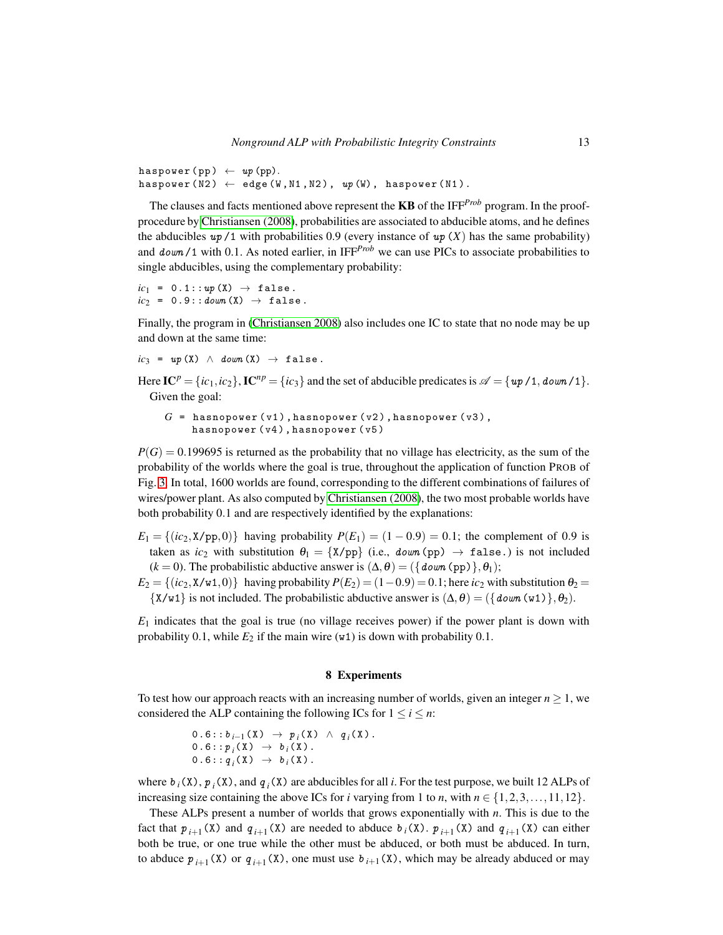haspower (pp)  $\leftarrow up$  (pp).  $haspower(N2) \leftarrow edge(W, N1, N2), wp(W), haspower(N1).$ 

The clauses and facts mentioned above represent the KB of the IFF*Prob* program. In the proofprocedure by Christiansen (2008), probabilities are associated to abducible atoms, and he defines the abducibles  $up/1$  with probabilities 0.9 (every instance of  $up(X)$  has the same probability) and  $down/1$  with 0.1. As noted earlier, in IFF<sup>*Prob*</sup> we can use PICs to associate probabilities to single abducibles, using the complementary probability:

 $ic_1 = 0.1::up(X) \rightarrow false$ .  $ic_2 = 0.9::down(X) \rightarrow false$ .

Finally, the program in (Christiansen 2008) also includes one IC to state that no node may be up and down at the same time:

$$
ic_3 = up(X) \land down(X) \rightarrow false.
$$

Here  $IC^p = {ic_1, ic_2}$ ,  $IC^{np} = {ic_3}$  and the set of abducible predicates is  $\mathscr{A} = {up/1, down/1}.$ Given the goal:

```
G = hasnopower (v1), hasnopower (v2), hasnopower (v3),
    hasnopower (v4), hasnopower (v5)
```
 $P(G) = 0.199695$  is returned as the probability that no village has electricity, as the sum of the probability of the worlds where the goal is true, throughout the application of function PROB of Fig. [3.](#page-10-1) In total, 1600 worlds are found, corresponding to the different combinations of failures of wires/power plant. As also computed by Christiansen (2008), the two most probable worlds have both probability 0.1 and are respectively identified by the explanations:

 $E_1 = \{(ic_2, X/\text{pp}, 0)\}\$  having probability  $P(E_1) = (1 - 0.9) = 0.1$ ; the complement of 0.9 is taken as  $ic_2$  with substitution  $\theta_1 = \{X/pp\}$  (i.e., *down* (pp)  $\rightarrow$  false.) is not included  $(k = 0)$ . The probabilistic abductive answer is  $(\Delta, \theta) = (\{down{down{ (pp) }}, \theta_1);$ 

 $E_2 = \{(ic_2, X/w1, 0)\}\$  having probability  $P(E_2) = (1-0.9) = 0.1$ ; here  $ic_2$  with substitution  $\theta_2 =$  $\{X/w1\}$  is not included. The probabilistic abductive answer is  $(\Delta, \theta) = (\{\text{down}(w1)\}, \theta_2)$ .

 $E_1$  indicates that the goal is true (no village receives power) if the power plant is down with probability 0.1, while  $E_2$  if the main wire  $(w1)$  is down with probability 0.1.

#### 8 Experiments

<span id="page-12-0"></span>To test how our approach reacts with an increasing number of worlds, given an integer  $n \geq 1$ , we considered the ALP containing the following ICs for  $1 \le i \le n$ :

$$
0.6::b_{i-1}(X) \rightarrow p_i(X) \land q_i(X).
$$
  
\n
$$
0.6::p_i(X) \rightarrow b_i(X).
$$
  
\n
$$
0.6::q_i(X) \rightarrow b_i(X).
$$

where  $b_i(X)$ ,  $p_i(X)$ , and  $q_i(X)$  are abducibles for all *i*. For the test purpose, we built 12 ALPs of increasing size containing the above ICs for *i* varying from 1 to *n*, with  $n \in \{1, 2, 3, \ldots, 11, 12\}$ .

These ALPs present a number of worlds that grows exponentially with *n*. This is due to the fact that  $p_{i+1}(X)$  and  $q_{i+1}(X)$  are needed to abduce  $b_i(X)$ .  $p_{i+1}(X)$  and  $q_{i+1}(X)$  can either both be true, or one true while the other must be abduced, or both must be abduced. In turn, to abduce  $p_{i+1}(X)$  or  $q_{i+1}(X)$ , one must use  $b_{i+1}(X)$ , which may be already abduced or may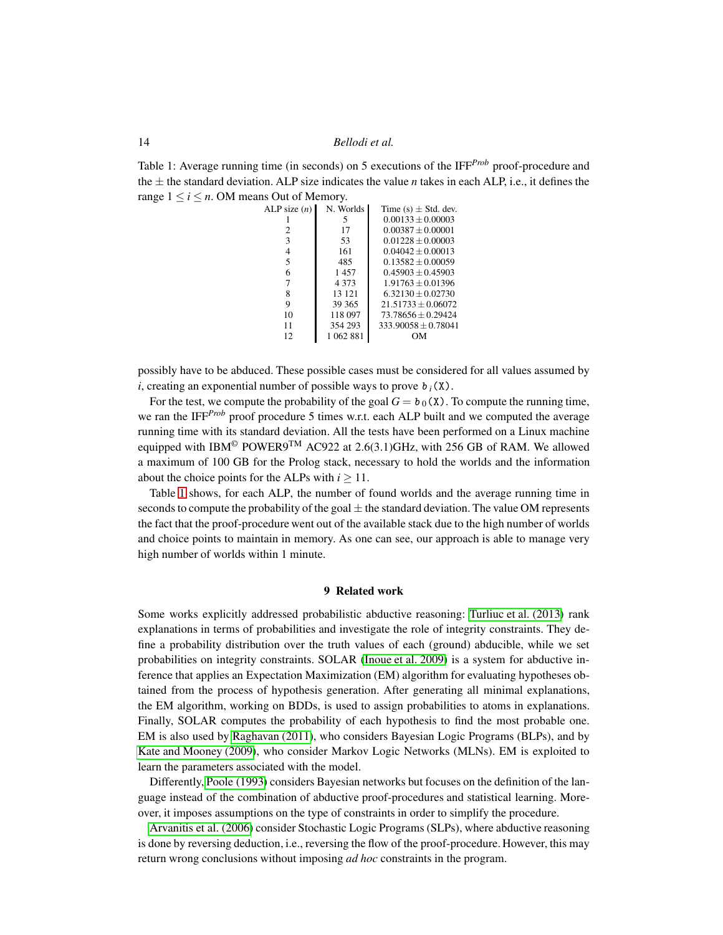<span id="page-13-1"></span>Table 1: Average running time (in seconds) on 5 executions of the IFF<sup>*Prob*</sup> proof-procedure and the  $\pm$  the standard deviation. ALP size indicates the value *n* takes in each ALP, i.e., it defines the range  $1 \le i \le n$ . OM means Out of Memory.

| ALP size $(n)$ | N. Worlds | Time (s) $\pm$ Std. dev. |
|----------------|-----------|--------------------------|
|                | 5         | $0.00133 + 0.00003$      |
| 2              | 17        | $0.00387 \pm 0.00001$    |
| 3              | 53        | $0.01228 + 0.00003$      |
| 4              | 161       | $0.04042 + 0.00013$      |
| 5              | 485       | $0.13582 + 0.00059$      |
| 6              | 1457      | $0.45903 + 0.45903$      |
| 7              | 4 3 7 3   | $1.91763 + 0.01396$      |
| 8              | 13 121    | $6.32130 + 0.02730$      |
| 9              | 39 365    | $21.51733 + 0.06072$     |
| 10             | 118 097   | $73.78656 + 0.29424$     |
| 11             | 354 293   | $333.90058 + 0.78041$    |
| 12.            | 1 062 881 | DМ                       |
|                |           |                          |

possibly have to be abduced. These possible cases must be considered for all values assumed by *i*, creating an exponential number of possible ways to prove  $b_i(X)$ .

For the test, we compute the probability of the goal  $G = b_0(X)$ . To compute the running time, we ran the IFF<sup>*Prob*</sup> proof procedure 5 times w.r.t. each ALP built and we computed the average running time with its standard deviation. All the tests have been performed on a Linux machine equipped with IBM<sup>©</sup> POWER9<sup>TM</sup> AC922 at 2.6(3.1)GHz, with 256 GB of RAM. We allowed a maximum of 100 GB for the Prolog stack, necessary to hold the worlds and the information about the choice points for the ALPs with  $i > 11$ .

Table [1](#page-13-1) shows, for each ALP, the number of found worlds and the average running time in seconds to compute the probability of the goal  $\pm$  the standard deviation. The value OM represents the fact that the proof-procedure went out of the available stack due to the high number of worlds and choice points to maintain in memory. As one can see, our approach is able to manage very high number of worlds within 1 minute.

## 9 Related work

<span id="page-13-0"></span>Some works explicitly addressed probabilistic abductive reasoning: [Turliuc et al. \(2013\)](#page-15-8) rank explanations in terms of probabilities and investigate the role of integrity constraints. They define a probability distribution over the truth values of each (ground) abducible, while we set probabilities on integrity constraints. SOLAR (Inoue et al. 2009) is a system for abductive inference that applies an Expectation Maximization (EM) algorithm for evaluating hypotheses obtained from the process of hypothesis generation. After generating all minimal explanations, the EM algorithm, working on BDDs, is used to assign probabilities to atoms in explanations. Finally, SOLAR computes the probability of each hypothesis to find the most probable one. EM is also used by Raghavan (2011), who considers Bayesian Logic Programs (BLPs), and by [Kate and Mooney \(2009\)](#page-15-7), who consider Markov Logic Networks (MLNs). EM is exploited to learn the parameters associated with the model.

Differently, Poole (1993) considers Bayesian networks but focuses on the definition of the language instead of the combination of abductive proof-procedures and statistical learning. Moreover, it imposes assumptions on the type of constraints in order to simplify the procedure.

[Arvanitis et al. \(2006\)](#page-14-0) consider Stochastic Logic Programs(SLPs), where abductive reasoning is done by reversing deduction, i.e., reversing the flow of the proof-procedure. However, this may return wrong conclusions without imposing *ad hoc* constraints in the program.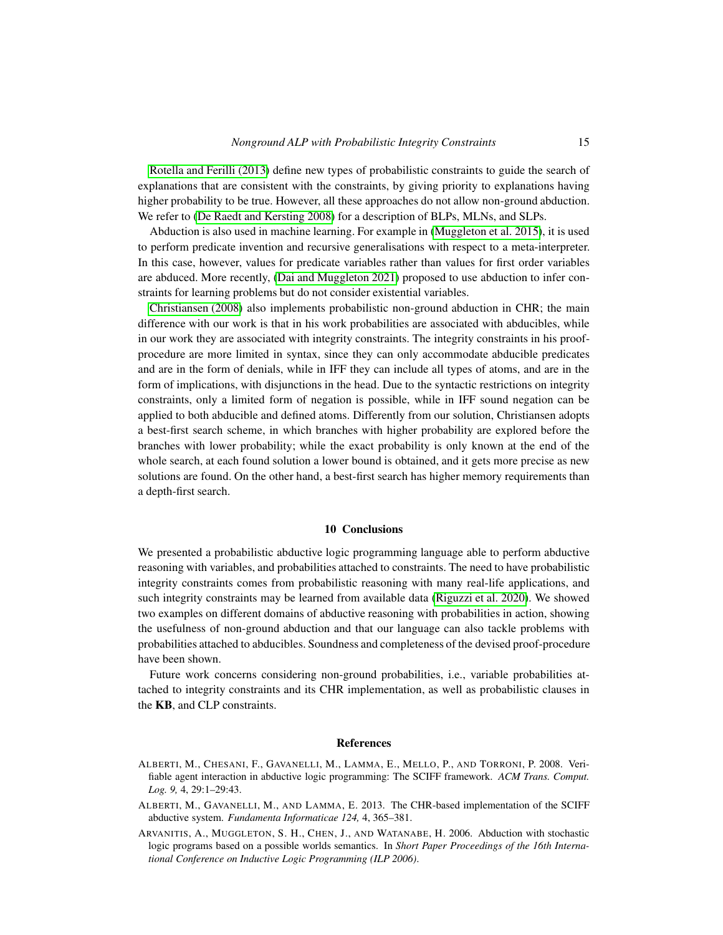Rotella and Ferilli (2013) define new types of probabilistic constraints to guide the search of explanations that are consistent with the constraints, by giving priority to explanations having higher probability to be true. However, all these approaches do not allow non-ground abduction. We refer to [\(De Raedt and Kersting 2008\)](#page-15-0) for a description of BLPs, MLNs, and SLPs.

Abduction is also used in machine learning. For example in [\(Muggleton et al. 2015\)](#page-15-11), it is used to perform predicate invention and recursive generalisations with respect to a meta-interpreter. In this case, however, values for predicate variables rather than values for first order variables are abduced. More recently, [\(Dai and Muggleton 2021\)](#page-15-12) proposed to use abduction to infer constraints for learning problems but do not consider existential variables.

Christiansen (2008) also implements probabilistic non-ground abduction in CHR; the main difference with our work is that in his work probabilities are associated with abducibles, while in our work they are associated with integrity constraints. The integrity constraints in his proofprocedure are more limited in syntax, since they can only accommodate abducible predicates and are in the form of denials, while in IFF they can include all types of atoms, and are in the form of implications, with disjunctions in the head. Due to the syntactic restrictions on integrity constraints, only a limited form of negation is possible, while in IFF sound negation can be applied to both abducible and defined atoms. Differently from our solution, Christiansen adopts a best-first search scheme, in which branches with higher probability are explored before the branches with lower probability; while the exact probability is only known at the end of the whole search, at each found solution a lower bound is obtained, and it gets more precise as new solutions are found. On the other hand, a best-first search has higher memory requirements than a depth-first search.

#### 10 Conclusions

<span id="page-14-1"></span>We presented a probabilistic abductive logic programming language able to perform abductive reasoning with variables, and probabilities attached to constraints. The need to have probabilistic integrity constraints comes from probabilistic reasoning with many real-life applications, and such integrity constraints may be learned from available data [\(Riguzzi et al. 2020\)](#page-15-6). We showed two examples on different domains of abductive reasoning with probabilities in action, showing the usefulness of non-ground abduction and that our language can also tackle problems with probabilities attached to abducibles. Soundness and completeness of the devised proof-procedure have been shown.

Future work concerns considering non-ground probabilities, i.e., variable probabilities attached to integrity constraints and its CHR implementation, as well as probabilistic clauses in the KB, and CLP constraints.

#### References

- <span id="page-14-2"></span>ALBERTI, M., CHESANI, F., GAVANELLI, M., LAMMA, E., MELLO, P., AND TORRONI, P. 2008. Verifiable agent interaction in abductive logic programming: The SCIFF framework. *ACM Trans. Comput. Log. 9,* 4, 29:1–29:43.
- <span id="page-14-3"></span>ALBERTI, M., GAVANELLI, M., AND LAMMA, E. 2013. The CHR-based implementation of the SCIFF abductive system. *Fundamenta Informaticae 124,* 4, 365–381.
- <span id="page-14-0"></span>ARVANITIS, A., MUGGLETON, S. H., CHEN, J., AND WATANABE, H. 2006. Abduction with stochastic logic programs based on a possible worlds semantics. In *Short Paper Proceedings of the 16th International Conference on Inductive Logic Programming (ILP 2006)*.